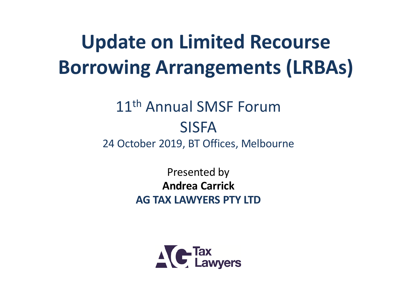#### **Update on Limited Recourse Borrowing Arrangements (LRBAs)**

#### 11th Annual SMSF Forum SISFA 24 October 2019, BT Offices, Melbourne

Presented by **Andrea Carrick AG TAX LAWYERS PTY LTD**

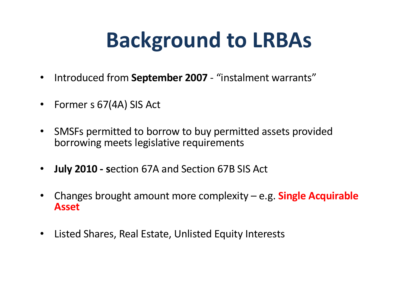# **Background to LRBAs**

- Introduced from **September 2007**  "instalment warrants"
- Former s 67(4A) SIS Act
- SMSFs permitted to borrow to buy permitted assets provided borrowing meets legislative requirements
- **July 2010 - s**ection 67A and Section 67B SIS Act
- Changes brought amount more complexity e.g. **Single Acquirable Asset**
- Listed Shares, Real Estate, Unlisted Equity Interests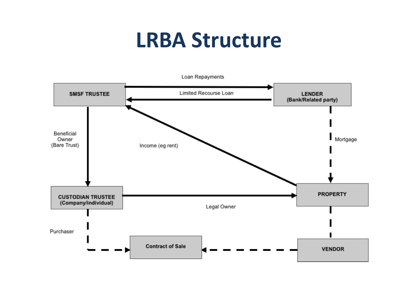#### **LRBA Structure**

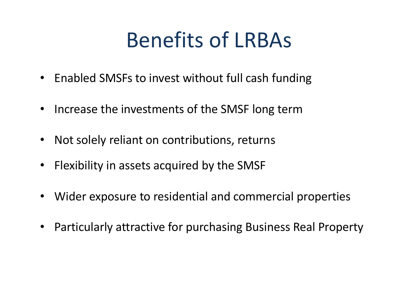#### Benefits of LRBAs

- Enabled SMSFs to invest without full cash funding
- Increase the investments of the SMSF long term
- Not solely reliant on contributions, returns
- Flexibility in assets acquired by the SMSF
- Wider exposure to residential and commercial properties
- Particularly attractive for purchasing Business Real Property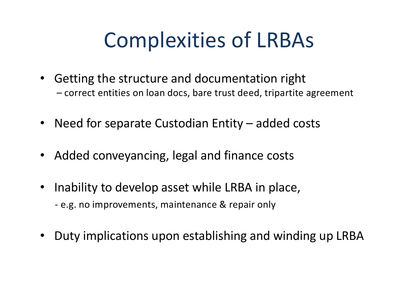## Complexities of LRBAs

- Getting the structure and documentation right – correct entities on loan docs, bare trust deed, tripartite agreement
- Need for separate Custodian Entity added costs
- Added conveyancing, legal and finance costs
- Inability to develop asset while LRBA in place, - e.g. no improvements, maintenance & repair only
- Duty implications upon establishing and winding up LRBA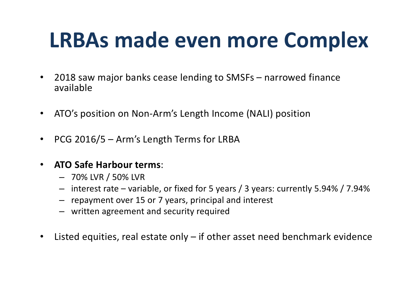# **LRBAs made even more Complex**

- 2018 saw major banks cease lending to SMSFs narrowed finance available
- ATO's position on Non-Arm's Length Income (NALI) position
- PCG 2016/5 Arm's Length Terms for LRBA
- **ATO Safe Harbour terms**:
	- 70% LVR / 50% LVR
	- interest rate variable, or fixed for 5 years / 3 years: currently 5.94% / 7.94%
	- repayment over 15 or 7 years, principal and interest
	- written agreement and security required
- Listed equities, real estate only if other asset need benchmark evidence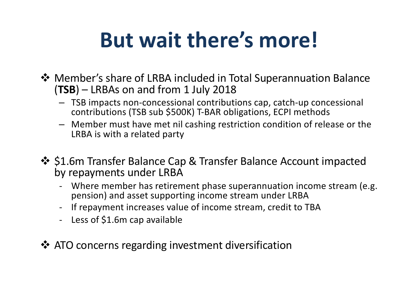# **But wait there's more!**

- **\*** Member's share of LRBA included in Total Superannuation Balance (**TSB**) – LRBAs on and from 1 July 2018
	- TSB impacts non-concessional contributions cap, catch-up concessional contributions (TSB sub \$500K) T-BAR obligations, ECPI methods
	- Member must have met nil cashing restriction condition of release or the LRBA is with a related party
- ❖ \$1.6m Transfer Balance Cap & Transfer Balance Account impacted by repayments under LRBA
	- Where member has retirement phase superannuation income stream (e.g. pension) and asset supporting income stream under LRBA
	- If repayment increases value of income stream, credit to TBA
	- Less of \$1.6m cap available
- $\cdot$  ATO concerns regarding investment diversification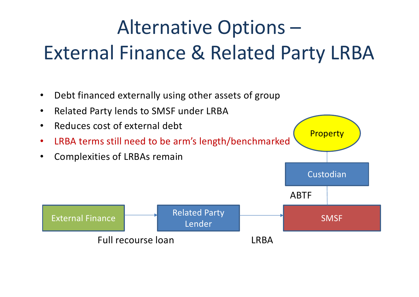#### Alternative Options – External Finance & Related Party LRBA

- Debt financed externally using other assets of group
- Related Party lends to SMSF under LRBA
- Reduces cost of external debt
- LRBA terms still need to be arm's length/benchmarked
- Complexities of LRBAs remain



**Property** 

Custodian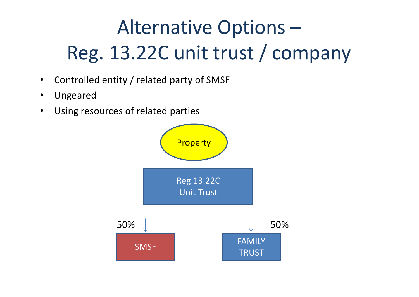## Alternative Options – Reg. 13.22C unit trust / company

- Controlled entity / related party of SMSF
- Ungeared
- Using resources of related parties

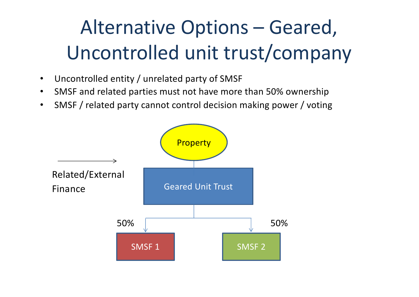#### Alternative Options – Geared, Uncontrolled unit trust/company

- Uncontrolled entity / unrelated party of SMSF
- SMSF and related parties must not have more than 50% ownership
- SMSF / related party cannot control decision making power / voting

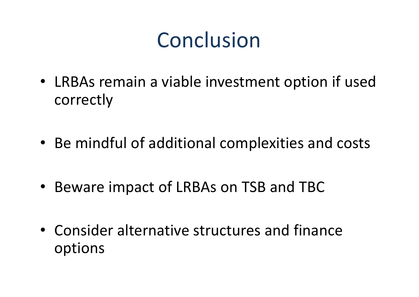#### Conclusion

- LRBAs remain a viable investment option if used correctly
- Be mindful of additional complexities and costs
- Beware impact of LRBAs on TSB and TBC
- Consider alternative structures and finance options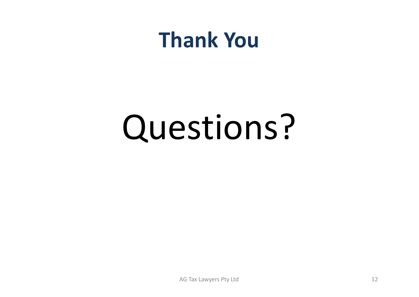#### **Thank You**

# Questions?